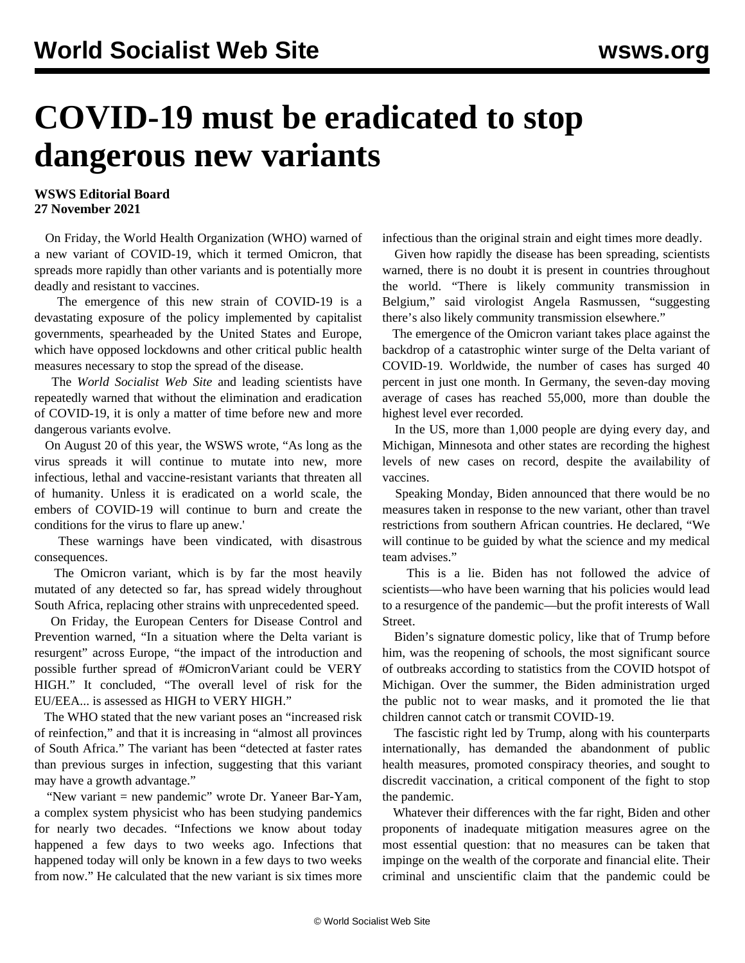## **COVID-19 must be eradicated to stop dangerous new variants**

## **WSWS Editorial Board 27 November 2021**

 On Friday, the World Health Organization (WHO) warned of a new variant of COVID-19, which it termed Omicron, that spreads more rapidly than other variants and is potentially more deadly and resistant to vaccines.

 The emergence of this new strain of COVID-19 is a devastating exposure of the policy implemented by capitalist governments, spearheaded by the United States and Europe, which have opposed lockdowns and other critical public health measures necessary to stop the spread of the disease.

 The *World Socialist Web Site* and leading scientists have repeatedly warned that without the elimination and eradication of COVID-19, it is only a matter of time before new and more dangerous variants evolve.

 On August 20 of this year, the WSWS [wrote,](/en/articles/2021/08/21/pers-a21.html) "As long as the virus spreads it will continue to mutate into new, more infectious, lethal and vaccine-resistant variants that threaten all of humanity. Unless it is eradicated on a world scale, the embers of COVID-19 will continue to burn and create the conditions for the virus to flare up anew.'

 These warnings have been vindicated, with disastrous consequences.

 The Omicron variant, which is by far the most heavily mutated of any detected so far, has spread widely throughout South Africa, replacing other strains with unprecedented speed.

 On Friday, the European Centers for Disease Control and Prevention warned, "In a situation where the Delta variant is resurgent" across Europe, "the impact of the introduction and possible further spread of #OmicronVariant could be VERY HIGH." It concluded, "The overall level of risk for the EU/EEA... is assessed as HIGH to VERY HIGH."

 The WHO stated that the new variant poses an "increased risk of reinfection," and that it is increasing in "almost all provinces of South Africa." The variant has been "detected at faster rates than previous surges in infection, suggesting that this variant may have a growth advantage."

 "New variant = new pandemic" wrote Dr. Yaneer Bar-Yam, a complex system physicist who has been studying pandemics for nearly two decades. "Infections we know about today happened a few days to two weeks ago. Infections that happened today will only be known in a few days to two weeks from now." He calculated that the new variant is six times more infectious than the original strain and eight times more deadly.

 Given how rapidly the disease has been spreading, scientists warned, there is no doubt it is present in countries throughout the world. "There is likely community transmission in Belgium," said virologist Angela Rasmussen, "suggesting there's also likely community transmission elsewhere."

 The emergence of the Omicron variant takes place against the backdrop of a catastrophic winter surge of the Delta variant of COVID-19. Worldwide, the number of cases has surged 40 percent in just one month. In Germany, the seven-day moving average of cases has reached 55,000, more than double the highest level ever recorded.

 In the US, more than 1,000 people are dying every day, and Michigan, Minnesota and other states are recording the highest levels of new cases on record, despite the availability of vaccines.

 Speaking Monday, Biden announced that there would be no measures taken in response to the new variant, other than travel restrictions from southern African countries. He declared, "We will continue to be guided by what the science and my medical team advises."

 This is a lie. Biden has not followed the advice of scientists—who have been warning that his policies would lead to a resurgence of the pandemic—but the profit interests of Wall Street.

 Biden's signature domestic policy, like that of Trump before him, was the reopening of schools, the most significant source of outbreaks according to statistics from the COVID hotspot of Michigan. Over the summer, the Biden administration urged the public not to wear masks, and it promoted the lie that children cannot catch or transmit COVID-19.

 The fascistic right led by Trump, along with his counterparts internationally, has demanded the abandonment of public health measures, promoted conspiracy theories, and sought to discredit vaccination, a critical component of the fight to stop the pandemic.

 Whatever their differences with the far right, Biden and other proponents of inadequate mitigation measures agree on the most essential question: that no measures can be taken that impinge on the wealth of the corporate and financial elite. Their criminal and unscientific claim that the pandemic could be